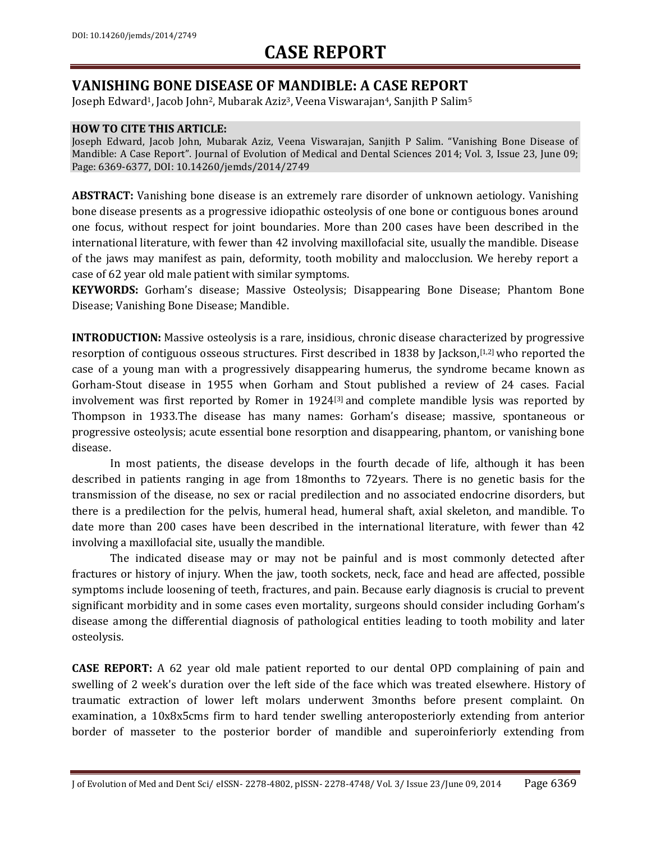### **VANISHING BONE DISEASE OF MANDIBLE: A CASE REPORT**

Joseph Edward<sup>1</sup>, Jacob John<sup>2</sup>, Mubarak Aziz<sup>3</sup>, Veena Viswarajan<sup>4</sup>, Sanjith P Salim<sup>5</sup>

#### **HOW TO CITE THIS ARTICLE:**

Joseph Edward, Jacob John, Mubarak Aziz, Veena Viswarajan, Sanjith P Salim. "Vanishing Bone Disease of Mandible: A Case Report". Journal of Evolution of Medical and Dental Sciences 2014; Vol. 3, Issue 23, June 09; Page: 6369-6377, DOI: 10.14260/jemds/2014/2749

**ABSTRACT:** Vanishing bone disease is an extremely rare disorder of unknown aetiology. Vanishing bone disease presents as a progressive idiopathic osteolysis of one bone or contiguous bones around one focus, without respect for joint boundaries. More than 200 cases have been described in the international literature, with fewer than 42 involving maxillofacial site, usually the mandible. Disease of the jaws may manifest as pain, deformity, tooth mobility and malocclusion. We hereby report a case of 62 year old male patient with similar symptoms.

**KEYWORDS:** Gorham's disease; Massive Osteolysis; Disappearing Bone Disease; Phantom Bone Disease; Vanishing Bone Disease; Mandible.

**INTRODUCTION:** Massive osteolysis is a rare, insidious, chronic disease characterized by progressive resorption of contiguous osseous structures. First described in 1838 by Jackson, [1,2] who reported the case of a young man with a progressively disappearing humerus, the syndrome became known as Gorham-Stout disease in 1955 when Gorham and Stout published a review of 24 cases. Facial involvement was first reported by Romer in 1924<sup>[3]</sup> and complete mandible lysis was reported by Thompson in 1933.The disease has many names: Gorham's disease; massive, spontaneous or progressive osteolysis; acute essential bone resorption and disappearing, phantom, or vanishing bone disease.

In most patients, the disease develops in the fourth decade of life, although it has been described in patients ranging in age from 18months to 72years. There is no genetic basis for the transmission of the disease, no sex or racial predilection and no associated endocrine disorders, but there is a predilection for the pelvis, humeral head, humeral shaft, axial skeleton, and mandible. To date more than 200 cases have been described in the international literature, with fewer than 42 involving a maxillofacial site, usually the mandible.

The indicated disease may or may not be painful and is most commonly detected after fractures or history of injury. When the jaw, tooth sockets, neck, face and head are affected, possible symptoms include loosening of teeth, fractures, and pain. Because early diagnosis is crucial to prevent significant morbidity and in some cases even mortality, surgeons should consider including Gorham's disease among the differential diagnosis of pathological entities leading to tooth mobility and later osteolysis.

**CASE REPORT:** A 62 year old male patient reported to our dental OPD complaining of pain and swelling of 2 week's duration over the left side of the face which was treated elsewhere. History of traumatic extraction of lower left molars underwent 3months before present complaint. On examination, a 10x8x5cms firm to hard tender swelling anteroposteriorly extending from anterior border of masseter to the posterior border of mandible and superoinferiorly extending from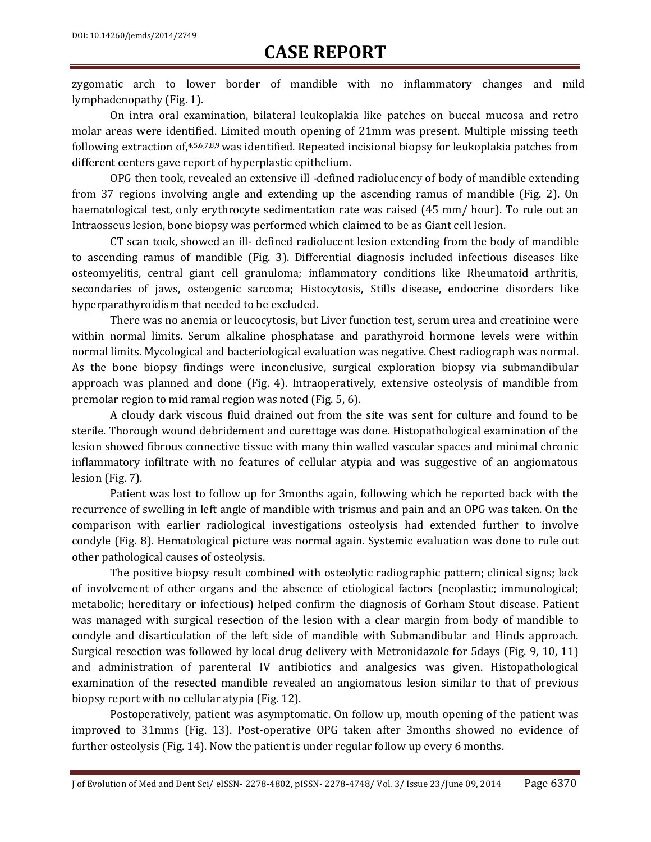zygomatic arch to lower border of mandible with no inflammatory changes and mild lymphadenopathy (Fig. 1).

On intra oral examination, bilateral leukoplakia like patches on buccal mucosa and retro molar areas were identified. Limited mouth opening of 21mm was present. Multiple missing teeth following extraction of,<sup>4,5,6,7,8,9</sup> was identified. Repeated incisional biopsy for leukoplakia patches from different centers gave report of hyperplastic epithelium.

OPG then took, revealed an extensive ill -defined radiolucency of body of mandible extending from 37 regions involving angle and extending up the ascending ramus of mandible (Fig. 2). On haematological test, only erythrocyte sedimentation rate was raised (45 mm/ hour). To rule out an Intraosseus lesion, bone biopsy was performed which claimed to be as Giant cell lesion.

CT scan took, showed an ill- defined radiolucent lesion extending from the body of mandible to ascending ramus of mandible (Fig. 3). Differential diagnosis included infectious diseases like osteomyelitis, central giant cell granuloma; inflammatory conditions like Rheumatoid arthritis, secondaries of jaws, osteogenic sarcoma; Histocytosis, Stills disease, endocrine disorders like hyperparathyroidism that needed to be excluded.

There was no anemia or leucocytosis, but Liver function test, serum urea and creatinine were within normal limits. Serum alkaline phosphatase and parathyroid hormone levels were within normal limits. Mycological and bacteriological evaluation was negative. Chest radiograph was normal. As the bone biopsy findings were inconclusive, surgical exploration biopsy via submandibular approach was planned and done (Fig. 4). Intraoperatively, extensive osteolysis of mandible from premolar region to mid ramal region was noted (Fig. 5, 6).

A cloudy dark viscous fluid drained out from the site was sent for culture and found to be sterile. Thorough wound debridement and curettage was done. Histopathological examination of the lesion showed fibrous connective tissue with many thin walled vascular spaces and minimal chronic inflammatory infiltrate with no features of cellular atypia and was suggestive of an angiomatous lesion (Fig. 7).

Patient was lost to follow up for 3months again, following which he reported back with the recurrence of swelling in left angle of mandible with trismus and pain and an OPG was taken. On the comparison with earlier radiological investigations osteolysis had extended further to involve condyle (Fig. 8). Hematological picture was normal again. Systemic evaluation was done to rule out other pathological causes of osteolysis.

The positive biopsy result combined with osteolytic radiographic pattern; clinical signs; lack of involvement of other organs and the absence of etiological factors (neoplastic; immunological; metabolic; hereditary or infectious) helped confirm the diagnosis of Gorham Stout disease. Patient was managed with surgical resection of the lesion with a clear margin from body of mandible to condyle and disarticulation of the left side of mandible with Submandibular and Hinds approach. Surgical resection was followed by local drug delivery with Metronidazole for 5days (Fig. 9, 10, 11) and administration of parenteral IV antibiotics and analgesics was given. Histopathological examination of the resected mandible revealed an angiomatous lesion similar to that of previous biopsy report with no cellular atypia (Fig. 12).

Postoperatively, patient was asymptomatic. On follow up, mouth opening of the patient was improved to 31mms (Fig. 13). Post-operative OPG taken after 3months showed no evidence of further osteolysis (Fig. 14). Now the patient is under regular follow up every 6 months.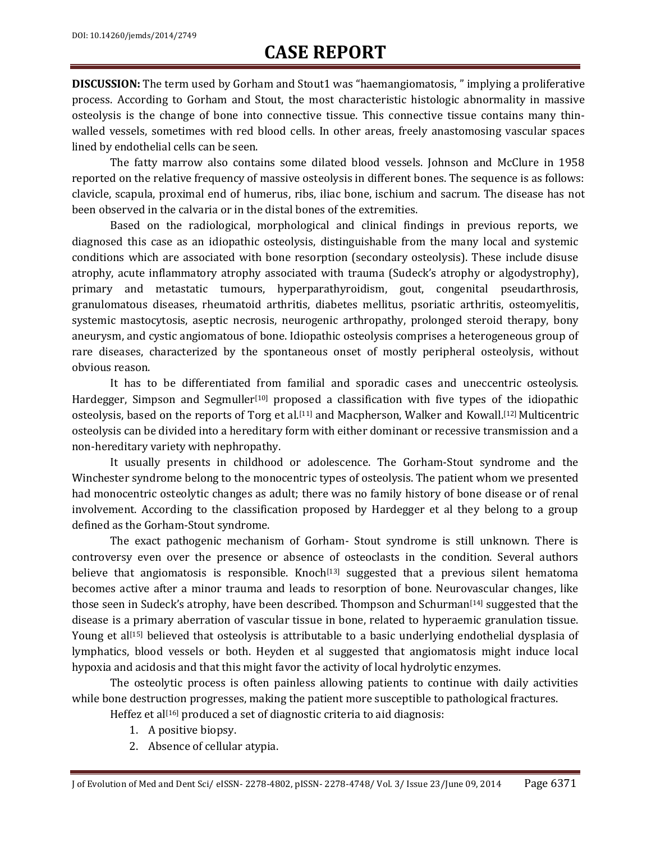**DISCUSSION:** The term used by Gorham and Stout1 was "haemangiomatosis, " implying a proliferative process. According to Gorham and Stout, the most characteristic histologic abnormality in massive osteolysis is the change of bone into connective tissue. This connective tissue contains many thinwalled vessels, sometimes with red blood cells. In other areas, freely anastomosing vascular spaces lined by endothelial cells can be seen.

The fatty marrow also contains some dilated blood vessels. Johnson and McClure in 1958 reported on the relative frequency of massive osteolysis in different bones. The sequence is as follows: clavicle, scapula, proximal end of humerus, ribs, iliac bone, ischium and sacrum. The disease has not been observed in the calvaria or in the distal bones of the extremities.

Based on the radiological, morphological and clinical findings in previous reports, we diagnosed this case as an idiopathic osteolysis, distinguishable from the many local and systemic conditions which are associated with bone resorption (secondary osteolysis). These include disuse atrophy, acute inflammatory atrophy associated with trauma (Sudeck's atrophy or algodystrophy), primary and metastatic tumours, hyperparathyroidism, gout, congenital pseudarthrosis, granulomatous diseases, rheumatoid arthritis, diabetes mellitus, psoriatic arthritis, osteomyelitis, systemic mastocytosis, aseptic necrosis, neurogenic arthropathy, prolonged steroid therapy, bony aneurysm, and cystic angiomatous of bone. Idiopathic osteolysis comprises a heterogeneous group of rare diseases, characterized by the spontaneous onset of mostly peripheral osteolysis, without obvious reason.

It has to be differentiated from familial and sporadic cases and [uneccentric](http://ed.grammarly.com/editor/content?page.paperReportKey=) osteolysis. Hardegger, Simpson and Segmuller<sup>[10]</sup> proposed a classification with five types of the idiopathic osteolysis, based on the reports of Torg et al.<sup>[11]</sup> and Macpherson, Walker and Kowall.<sup>[12]</sup> Multicentric osteolysis can be divided into a hereditary form with either dominant or recessive transmission and a non-hereditary variety with nephropathy.

It usually presents in childhood or adolescence. The Gorham-Stout syndrome and the Winchester syndrome belong to the monocentric types of osteolysis. The patient whom we presented had monocentric osteolytic changes as adult; there was no family history of bone disease or of renal involvement. According to the classification proposed by Hardegger et al they belong to a group defined as the Gorham-Stout syndrome.

The exact pathogenic mechanism of Gorham- Stout syndrome is still unknown. There is controversy even over the presence or absence of osteoclasts in the condition. Several authors believe that angiomatosis is responsible. Knoch<sup>[13]</sup> suggested that a previous silent hematoma becomes active after a minor trauma and leads to resorption of bone. Neurovascular changes, like those seen in Sudeck's atrophy, have been described. Thompson and Schurman[14] suggested that the disease is a primary aberration of vascular tissue in bone, related to hyperaemic granulation tissue. Young et al<sup>[15]</sup> believed that osteolysis is attributable to a basic underlying endothelial dysplasia of lymphatics, blood vessels or both. Heyden et al suggested that angiomatosis might induce local hypoxia and acidosis and that this might favor the activity of local hydrolytic enzymes.

The osteolytic process is often painless allowing patients to continue with daily activities while bone destruction progresses, making the patient more susceptible to pathological fractures.

Heffez et al<sup>[16]</sup> produced a set of diagnostic criteria to aid diagnosis:

- 1. A positive biopsy.
- 2. Absence of cellular atypia.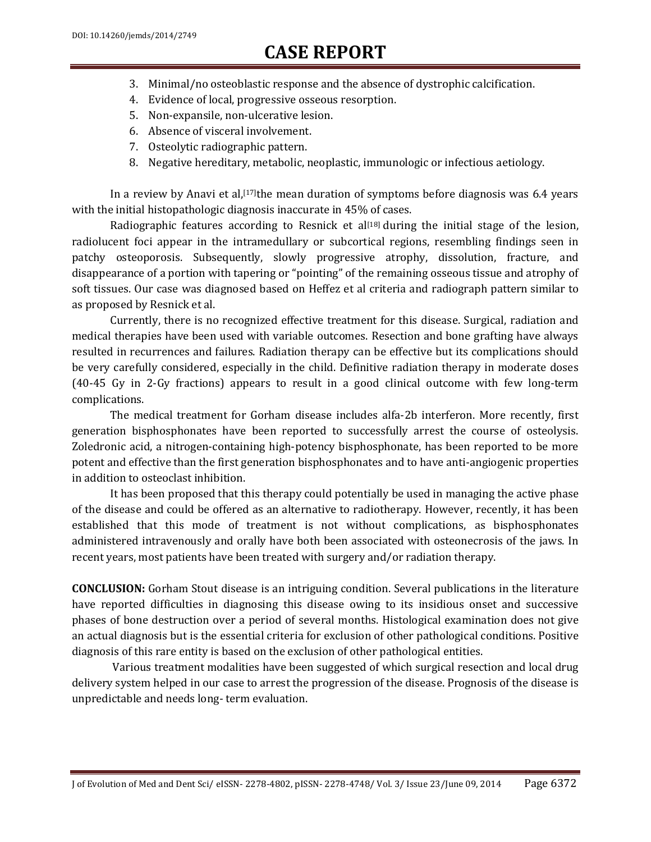- 3. Minimal/no osteoblastic response and the absence of dystrophic calcification.
- 4. Evidence of local, progressive osseous resorption.
- 5. Non-expansile, non-ulcerative lesion.
- 6. Absence of visceral involvement.
- 7. Osteolytic radiographic pattern.
- 8. Negative hereditary, metabolic, neoplastic, immunologic or infectious aetiology.

In a review by Anavi et al,<sup>[17]</sup>the mean duration of symptoms before diagnosis was 6.4 years with the initial histopathologic diagnosis inaccurate in 45% of cases.

Radiographic features according to Resnick et al<sup>[18]</sup> during the initial stage of the lesion, radiolucent foci appear in the intramedullary or subcortical regions, resembling findings seen in patchy osteoporosis. Subsequently, slowly progressive atrophy, dissolution, fracture, and disappearance of a portion with tapering or "pointing" of the remaining osseous tissue and atrophy of soft tissues. Our case was diagnosed based on Heffez et al criteria and radiograph pattern similar to as proposed by Resnick et al.

Currently, there is no recognized effective treatment for this disease. Surgical, radiation and medical therapies have been used with variable outcomes. Resection and bone grafting have always resulted in recurrences and failures. Radiation therapy can be effective but its complications should be very carefully considered, especially in the child. Definitive radiation therapy in moderate doses (40-45 Gy in 2-Gy fractions) appears to result in a good clinical outcome with few long-term complications.

The medical treatment for Gorham disease includes alfa-2b interferon. More recently, first generation bisphosphonates have been reported to successfully arrest the course of osteolysis. Zoledronic acid, a nitrogen-containing high-potency bisphosphonate, has been reported to be more potent and effective than the first generation bisphosphonates and to have anti-angiogenic properties in addition to osteoclast inhibition.

It has been proposed that this therapy could potentially be used in managing the active phase of the disease and could be offered as an alternative to radiotherapy. However, recently, it has been established that this mode of treatment is not without complications, as bisphosphonates administered intravenously and orally have both been associated with osteonecrosis of the jaws. In recent years, most patients have been treated with surgery and/or radiation therapy.

**CONCLUSION:** Gorham Stout disease is an intriguing condition. Several publications in the literature have reported difficulties in diagnosing this disease owing to its insidious onset and successive phases of bone destruction over a period of several months. Histological examination does not give an actual diagnosis but is the essential criteria for exclusion of other pathological conditions. Positive diagnosis of this rare entity is based on the exclusion of other pathological entities.

Various treatment modalities have been suggested of which surgical resection and local drug delivery system helped in our case to arrest the progression of the disease. Prognosis of the disease is unpredictable and needs long- term evaluation.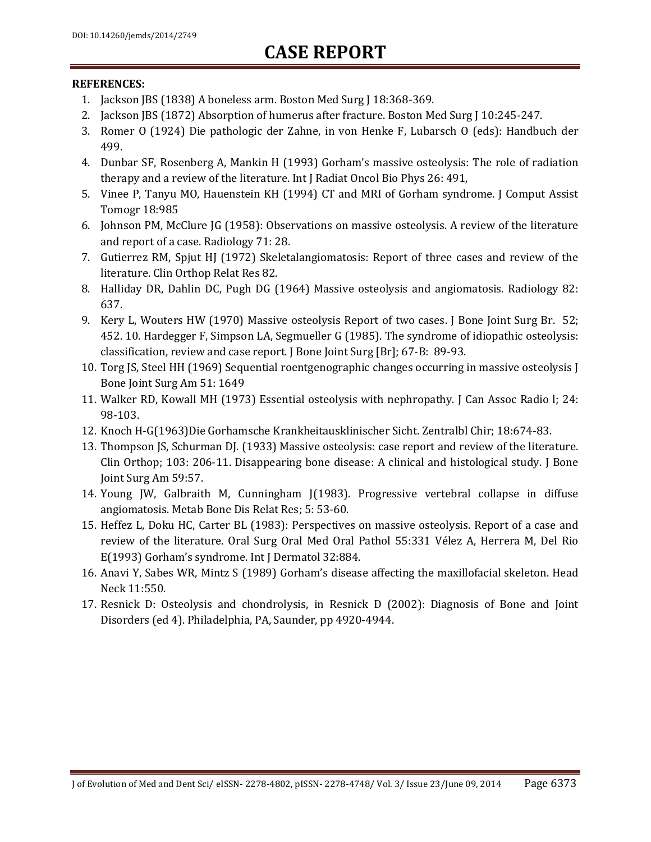#### **REFERENCES:**

- 1. Jackson JBS (1838) A boneless arm. Boston Med Surg J 18:368-369.
- 2. Jackson JBS (1872) Absorption of humerus after fracture. Boston Med Surg J 10:245-247.
- 3. Romer O (1924) Die pathologic der Zahne, in von Henke F, Lubarsch O (eds): Handbuch der 499.
- 4. Dunbar SF, Rosenberg A, Mankin H (1993) Gorham's massive osteolysis: The role of radiation therapy and a review of the literature. Int J Radiat Oncol Bio Phys 26: 491,
- 5. Vinee P, Tanyu MO, Hauenstein KH (1994) CT and MRI of Gorham syndrome. J Comput Assist Tomogr 18:985
- 6. Johnson PM, McClure JG (1958): Observations on massive osteolysis. A review of the literature and report of a case. Radiology 71: 28.
- 7. Gutierrez RM, Spjut HJ (1972) Skeletalangiomatosis: Report of three cases and review of the literature. Clin Orthop Relat Res 82.
- 8. Halliday DR, Dahlin DC, Pugh DG (1964) Massive osteolysis and angiomatosis. Radiology 82: 637.
- 9. Kery L, Wouters HW (1970) Massive osteolysis Report of two cases. J Bone Joint Surg Br. 52; 452. 10. Hardegger F, Simpson LA, Segmueller G (1985). The syndrome of idiopathic osteolysis: classification, review and case report. J Bone Joint Surg [Br]; 67-B: 89-93.
- 10. Torg JS, Steel HH (1969) Sequential roentgenographic changes occurring in massive osteolysis J Bone Joint Surg Am 51: 1649
- 11. Walker RD, Kowall MH (1973) Essential osteolysis with nephropathy. J Can Assoc Radio l; 24: 98-103.
- 12. Knoch H-G(1963)Die Gorhamsche Krankheitausklinischer Sicht. Zentralbl Chir; 18:674-83.
- 13. Thompson JS, Schurman DJ. (1933) Massive osteolysis: case report and review of the literature. Clin Orthop; 103: 206-11. Disappearing bone disease: A clinical and histological study. J Bone Joint Surg Am 59:57.
- 14. Young JW, Galbraith M, Cunningham J(1983). Progressive vertebral collapse in diffuse angiomatosis. Metab Bone Dis Relat Res; 5: 53-60.
- 15. Heffez L, Doku HC, Carter BL (1983): Perspectives on massive osteolysis. Report of a case and review of the literature. Oral Surg Oral Med Oral Pathol 55:331 Vélez A, Herrera M, Del Rio E(1993) Gorham's syndrome. Int J Dermatol 32:884.
- 16. Anavi Y, Sabes WR, Mintz S (1989) Gorham's disease affecting the maxillofacial skeleton. Head Neck 11:550.
- 17. Resnick D: Osteolysis and chondrolysis, in Resnick D (2002): Diagnosis of Bone and Joint Disorders (ed 4). Philadelphia, PA, Saunder, pp 4920-4944.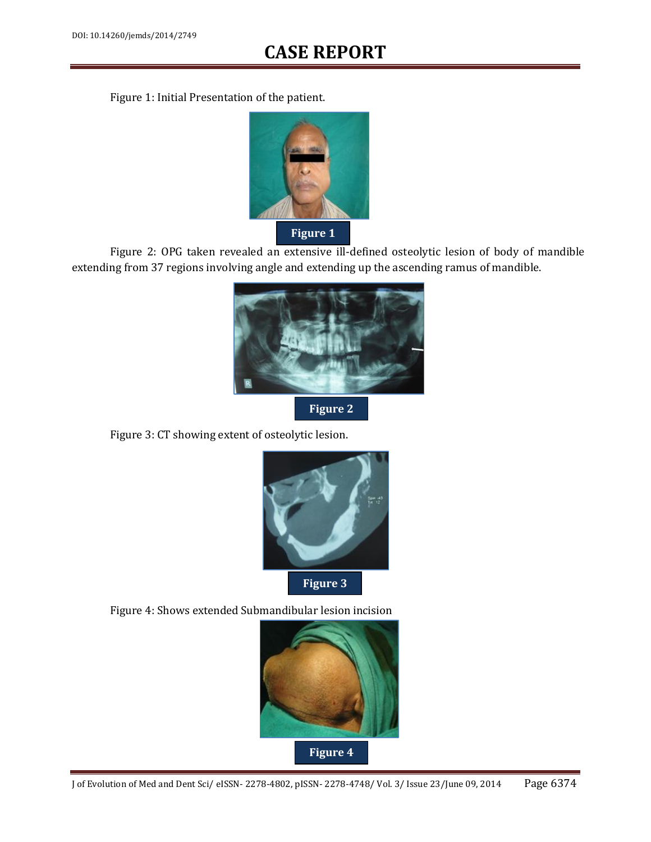Figure 1: Initial Presentation of the patient.



Figure 2: OPG taken revealed an extensive ill-defined osteolytic lesion of body of mandible extending from 37 regions involving angle and extending up the ascending ramus of mandible.



**Figure 2**

Figure 3: CT showing extent of osteolytic lesion.



Figure 4: Shows extended Submandibular lesion incision

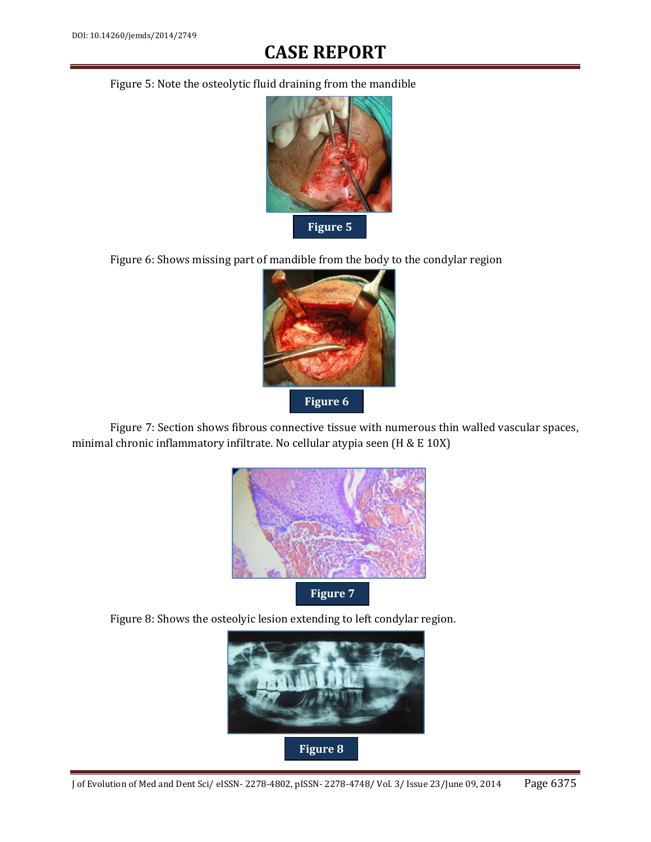Figure 5: Note the osteolytic fluid draining from the mandible



Figure 6: Shows missing part of mandible from the body to the condylar region



Figure 7: Section shows fibrous connective tissue with numerous thin walled vascular spaces, minimal chronic inflammatory infiltrate. No cellular atypia seen (H & E 10X)



Figure 8: Shows the osteolyic lesion extending to left condylar region.

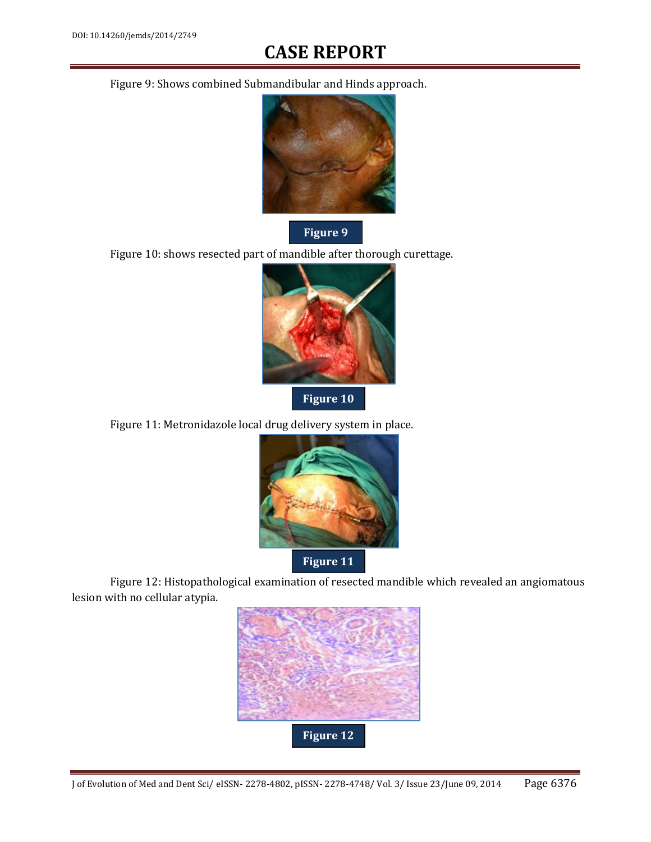Figure 9: Shows combined Submandibular and Hinds approach.



Figure 10: shows resected part of mandible after thorough curettage.



**Figure 10**

Figure 11: Metronidazole local drug delivery system in place.



Figure 12: Histopathological examination of resected mandible which revealed an angiomatous lesion with no cellular atypia.